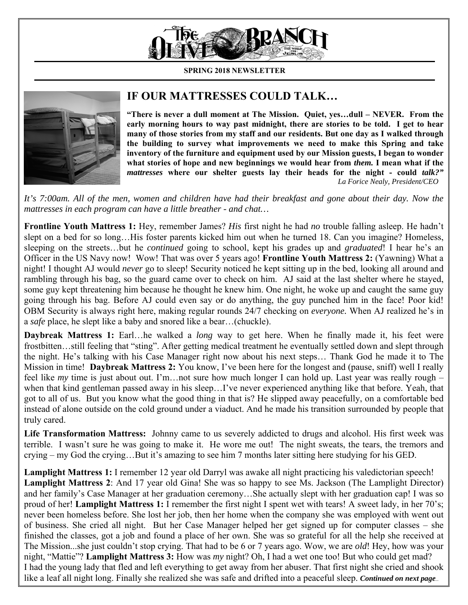

**SPRING 2018 NEWSLETTER**



## **IF OUR MATTRESSES COULD TALK…**

**"There is never a dull moment at The Mission. Quiet, yes…dull – NEVER. From the early morning hours to way past midnight, there are stories to be told. I get to hear many of those stories from my staff and our residents. But one day as I walked through the building to survey what improvements we need to make this Spring and take inventory of the furniture and equipment used by our Mission guests, I began to wonder what stories of hope and new beginnings we would hear from** *them.* **I mean what if the**  *mattresses* **where our shelter guests lay their heads for the night - could** *talk?" La Forice Nealy, President/CEO* 

*It's 7:00am. All of the men, women and children have had their breakfast and gone about their day. Now the mattresses in each program can have a little breather - and chat…* 

**Frontline Youth Mattress 1:** Hey, remember James? *His* first night he had *no* trouble falling asleep. He hadn't slept on a bed for so long…His foster parents kicked him out when he turned 18. Can you imagine? Homeless, sleeping on the streets…but he *continued* going to school, kept his grades up and *graduated*! I hear he's an Officer in the US Navy now! Wow! That was over 5 years ago! **Frontline Youth Mattress 2:** (Yawning) What a night! I thought AJ would *never* go to sleep! Security noticed he kept sitting up in the bed, looking all around and rambling through his bag, so the guard came over to check on him. AJ said at the last shelter where he stayed, some guy kept threatening him because he thought he knew him. One night, he woke up and caught the same guy going through his bag. Before AJ could even say or do anything, the guy punched him in the face! Poor kid! OBM Security is always right here, making regular rounds 24/7 checking on *everyone.* When AJ realized he's in a *safe* place, he slept like a baby and snored like a bear…(chuckle).

**Daybreak Mattress 1:** Earl…he walked a *long* way to get here. When he finally made it, his feet were frostbitten…still feeling that "sting". After getting medical treatment he eventually settled down and slept through the night. He's talking with his Case Manager right now about his next steps… Thank God he made it to The Mission in time! **Daybreak Mattress 2:** You know, I've been here for the longest and (pause, sniff) well I really feel like *my* time is just about out. I'm…not sure how much longer I can hold up. Last year was really rough – when that kind gentleman passed away in his sleep…I've never experienced anything like that before. Yeah, that got to all of us. But you know what the good thing in that is? He slipped away peacefully, on a comfortable bed instead of alone outside on the cold ground under a viaduct. And he made his transition surrounded by people that truly cared.

**Life Transformation Mattress:** Johnny came to us severely addicted to drugs and alcohol. His first week was terrible. I wasn't sure he was going to make it. He wore me out! The night sweats, the tears, the tremors and crying – my God the crying…But it's amazing to see him 7 months later sitting here studying for his GED.

**Lamplight Mattress 1:** I remember 12 year old Darryl was awake all night practicing his valedictorian speech! **Lamplight Mattress 2**: And 17 year old Gina! She was so happy to see Ms. Jackson (The Lamplight Director) and her family's Case Manager at her graduation ceremony…She actually slept with her graduation cap! I was so proud of her! **Lamplight Mattress 1:** I remember the first night I spent wet with tears! A sweet lady, in her 70's; never been homeless before. She lost her job, then her home when the company she was employed with went out of business. She cried all night. But her Case Manager helped her get signed up for computer classes – she finished the classes, got a job and found a place of her own. She was so grateful for all the help she received at The Mission...she just couldn't stop crying. That had to be 6 or 7 years ago. Wow, we are *old*! Hey, how was your night, "Mattie"? **Lamplight Mattress 3:** How was *my* night? Oh, I had a wet one too! But who could get mad? I had the young lady that fled and left everything to get away from her abuser. That first night she cried and shook like a leaf all night long. Finally she realized she was safe and drifted into a peaceful sleep. *Continued on next page…*